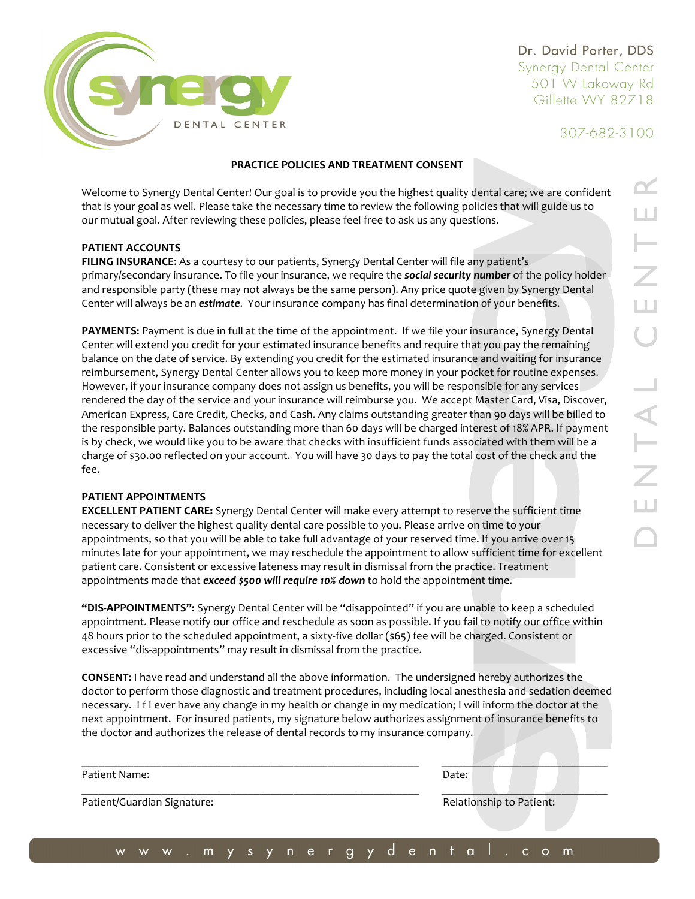

Dr. David Porter, DDS Synergy Dental Center 501 W Lakeway Rd Gillette WY 82718

307-682-3100

### **PRACTICE POLICIES AND TREATMENT CONSENT**

Welcome to Synergy Dental Center! Our goal is to provide you the highest quality dental care; we are confident that is your goal as well. Please take the necessary time to review the following policies that will guide us to our mutual goal. After reviewing these policies, please feel free to ask us any questions.

### **PATIENT ACCOUNTS**

**FILING INSURANCE**: As a courtesy to our patients, Synergy Dental Center will file any patient's primary/secondary insurance. To file your insurance, we require the *social security number* of the policy holder and responsible party (these may not always be the same person). Any price quote given by Synergy Dental Center will always be an *estimate*. Your insurance company has final determination of your benefits.

**PAYMENTS:** Payment is due in full at the time of the appointment. If we file your insurance, Synergy Dental Center will extend you credit for your estimated insurance benefits and require that you pay the remaining balance on the date of service. By extending you credit for the estimated insurance and waiting for insurance reimbursement, Synergy Dental Center allows you to keep more money in your pocket for routine expenses. However, if your insurance company does not assign us benefits, you will be responsible for any services rendered the day of the service and your insurance will reimburse you. We accept Master Card, Visa, Discover, American Express, Care Credit, Checks, and Cash. Any claims outstanding greater than 90 days will be billed to the responsible party. Balances outstanding more than 60 days will be charged interest of 18% APR. If payment is by check, we would like you to be aware that checks with insufficient funds associated with them will be a charge of \$30.00 reflected on your account. You will have 30 days to pay the total cost of the check and the fee.

### **PATIENT APPOINTMENTS**

**EXCELLENT PATIENT CARE:** Synergy Dental Center will make every attempt to reserve the sufficient time necessary to deliver the highest quality dental care possible to you. Please arrive on time to your appointments, so that you will be able to take full advantage of your reserved time. If you arrive over 15 minutes late for your appointment, we may reschedule the appointment to allow sufficient time for excellent patient care. Consistent or excessive lateness may result in dismissal from the practice. Treatment appointments made that *exceed \$500 will require 10% down* to hold the appointment time.

**"DIS-APPOINTMENTS":** Synergy Dental Center will be "disappointed" if you are unable to keep a scheduled appointment. Please notify our office and reschedule as soon as possible. If you fail to notify our office within 48 hours prior to the scheduled appointment, a sixty-five dollar (\$65) fee will be charged. Consistent or excessive "dis-appointments" may result in dismissal from the practice.

**CONSENT:** I have read and understand all the above information. The undersigned hereby authorizes the doctor to perform those diagnostic and treatment procedures, including local anesthesia and sedation deemed necessary. I f I ever have any change in my health or change in my medication; I will inform the doctor at the next appointment. For insured patients, my signature below authorizes assignment of insurance benefits to the doctor and authorizes the release of dental records to my insurance company.

| Patient Name:               | Date:                    |
|-----------------------------|--------------------------|
| Patient/Guardian Signature: | Relationship to Patient: |
|                             |                          |